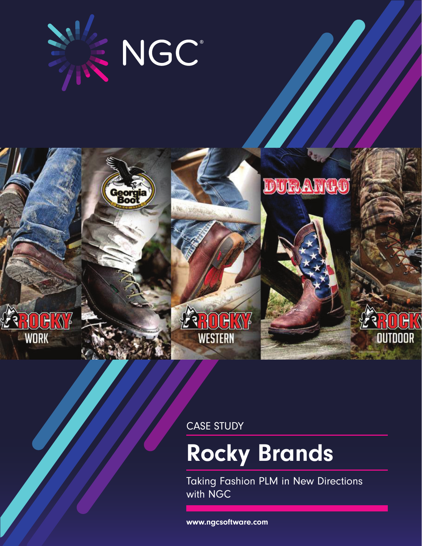

Georg<br>Boo

**WORK** 



CASE STUDY

# Rocky Brands

Taking Fashion PLM in New Directions with NGC

DURANCO

**OUTDOOR** 

www.ngcsoftware.com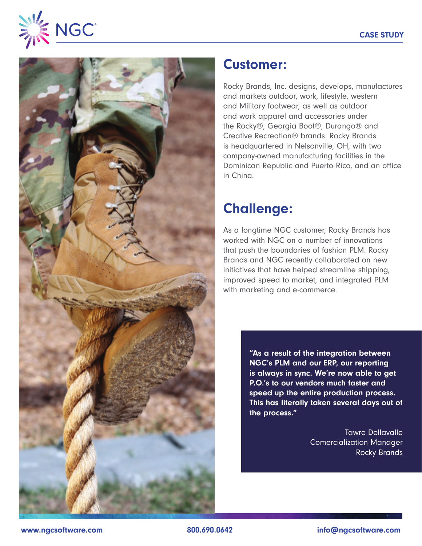



#### Customer:

Rocky Brands, Inc. designs, develops, manufactures and markets outdoor, work, lifestyle, western and Military footwear, as well as outdoor and work apparel and accessories under the Rocky®, Georgia Boot®, Durango® and Creative Recreation® brands. Rocky Brands is headquartered in Nelsonville, OH, with two company-owned manufacturing facilities in the Dominican Republic and Puerto Rico, and an office in China.

## Challenge:

As a longtime NGC customer, Rocky Brands has worked with NGC on a number of innovations that push the boundaries of fashion PLM. Rocky Brands and NGC recently collaborated on new initiatives that have helped streamline shipping, improved speed to market, and integrated PLM with marketing and e-commerce.

> "As a result of the integration between NGC's PLM and our ERP, our reporting is always in sync. We're now able to get P.O.'s to our vendors much faster and speed up the entire production process. This has literally taken several days out of the process."

> > Tawre Dellavalle Comercialization Manager Rocky Brands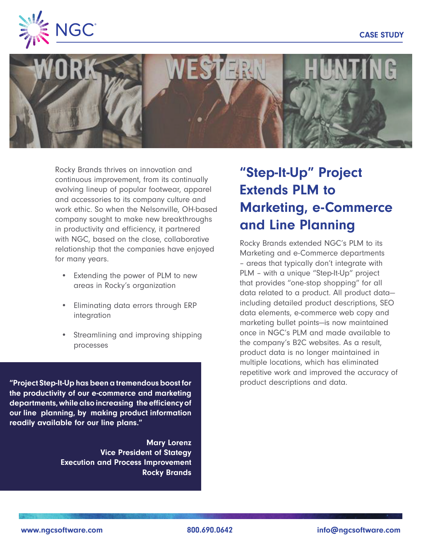



Rocky Brands thrives on innovation and continuous improvement, from its continually evolving lineup of popular footwear, apparel and accessories to its company culture and work ethic. So when the Nelsonville, OH-based company sought to make new breakthroughs in productivity and efficiency, it partnered with NGC, based on the close, collaborative relationship that the companies have enjoyed for many years.

- Extending the power of PLM to new areas in Rocky's organization
- Eliminating data errors through ERP integration
- Streamlining and improving shipping processes

"Project Step-It-Up has been a tremendous boost for product descriptions and data. the productivity of our e-commerce and marketing departments, while also increasing the efficiency of our line planning, by making product information readily available for our line plans."

> Mary Lorenz Vice President of Stategy Execution and Process Improvement Rocky Brands

# "Step-It-Up" Project Extends PLM to Marketing, e-Commerce and Line Planning

Rocky Brands extended NGC's PLM to its Marketing and e-Commerce departments – areas that typically don't integrate with PLM – with a unique "Step-It-Up" project that provides "one-stop shopping" for all data related to a product. All product data including detailed product descriptions, SEO data elements, e-commerce web copy and marketing bullet points—is now maintained once in NGC's PLM and made available to the company's B2C websites. As a result, product data is no longer maintained in multiple locations, which has eliminated repetitive work and improved the accuracy of